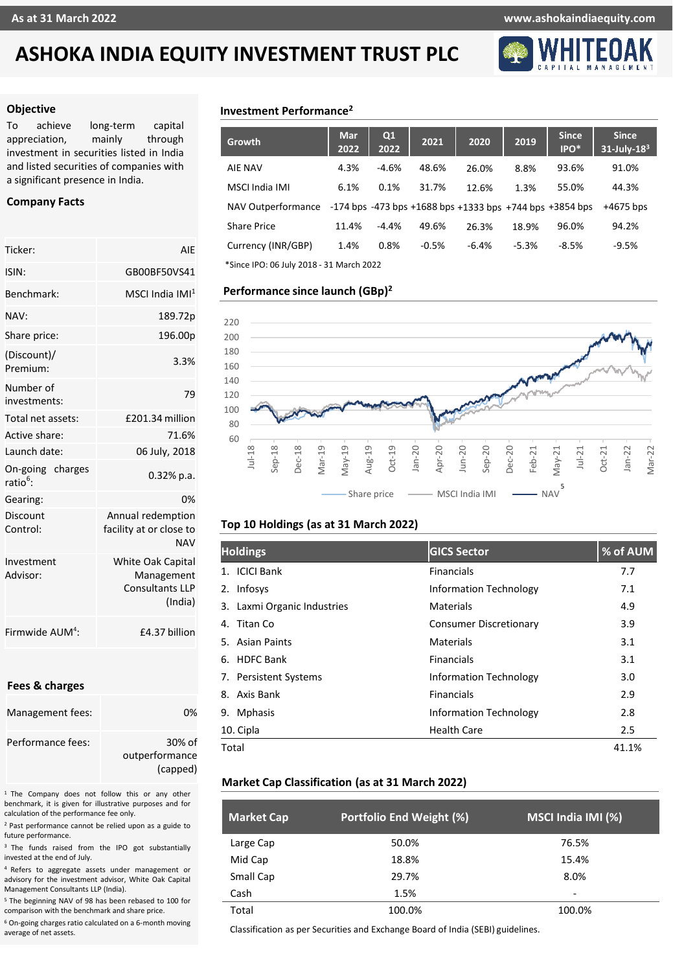### **As at 31 March 2022 www.ashokaindiaequity.com**



#### **Objective**

To achieve long-term capital appreciation, mainly through investment in securities listed in India and listed securities of companies with a significant presence in India.

#### **Company Facts**

| Ticker:                                | AIE                                                                         |  |  |  |
|----------------------------------------|-----------------------------------------------------------------------------|--|--|--|
| ISIN:                                  | GB00BF50VS41                                                                |  |  |  |
| Benchmark:                             | MSCI India IMI $^{\rm 1}$                                                   |  |  |  |
| NAV:                                   | 189.72p                                                                     |  |  |  |
| Share price:                           | 196.00p                                                                     |  |  |  |
| (Discount)/<br>Premium:                | 3.3%                                                                        |  |  |  |
| Number of<br>investments:              | 79                                                                          |  |  |  |
| Total net assets:                      | £201.34 million                                                             |  |  |  |
| Active share:                          | 71.6%                                                                       |  |  |  |
| Launch date:                           | 06 July, 2018                                                               |  |  |  |
| On-going charges<br>ratio <sup>6</sup> | $0.32%$ p.a.                                                                |  |  |  |
| Gearing:                               | 0%                                                                          |  |  |  |
| Discount<br>Control:                   | Annual redemption<br>facility at or close to<br><b>NAV</b>                  |  |  |  |
| Investment<br>Advisor:                 | <b>White Oak Capital</b><br>Management<br><b>Consultants LLP</b><br>(India) |  |  |  |
| Firmwide AUM <sup>4</sup> :            | £4.37 billion                                                               |  |  |  |

#### **Fees & charges**

| Management fees:  | በ%                       |
|-------------------|--------------------------|
| Performance fees: | 30% of<br>outperformance |
|                   | (capped)                 |

<sup>1</sup> The Company does not follow this or any other benchmark, it is given for illustrative purposes and for calculation of the performance fee only.

<sup>2</sup> Past performance cannot be relied upon as a guide to future performance.

<sup>3</sup> The funds raised from the IPO got substantially invested at the end of July.

<sup>4</sup> Refers to aggregate assets under management or advisory for the investment advisor, White Oak Capital Management Consultants LLP (India).

<sup>5</sup> The beginning NAV of 98 has been rebased to 100 for comparison with the benchmark and share price.

<sup>6</sup> On-going charges ratio calculated on a 6-month moving average of net assets.

### **Investment Performance<sup>2</sup>**

| <b>Growth</b>                            | Mar<br>2022 | Q1<br>2022 | 2021    | 2020    | 2019    | <b>Since</b><br>IPO*                                                 | <b>Since</b><br>$31$ -July- $183$ |
|------------------------------------------|-------------|------------|---------|---------|---------|----------------------------------------------------------------------|-----------------------------------|
| <b>AIE NAV</b>                           | 4.3%        | $-4.6%$    | 48.6%   | 26.0%   | 8.8%    | 93.6%                                                                | 91.0%                             |
| MSCI India IMI                           | 6.1%        | 0.1%       | 31.7%   | 12.6%   | 1.3%    | 55.0%                                                                | 44.3%                             |
| NAV Outperformance                       |             |            |         |         |         | $-174$ bps $-473$ bps $+1688$ bps $+1333$ bps $+744$ bps $+3854$ bps | $+4675$ bps                       |
| <b>Share Price</b>                       | 11.4%       | $-4.4%$    | 49.6%   | 26.3%   | 18.9%   | 96.0%                                                                | 94.2%                             |
| Currency (INR/GBP)                       | 1.4%        | 0.8%       | $-0.5%$ | $-6.4%$ | $-5.3%$ | $-8.5%$                                                              | $-9.5%$                           |
| *Since IPO: 06 July 2018 - 31 March 2022 |             |            |         |         |         |                                                                      |                                   |

#### **Performance since launch (GBp) 2**



#### **Top 10 Holdings (as at 31 March 2022)**

| <b>Holdings</b>             | <b>GICS Sector</b>            | % of AUM |
|-----------------------------|-------------------------------|----------|
| 1. ICICI Bank               | <b>Financials</b>             | 7.7      |
| 2. Infosys                  | <b>Information Technology</b> | 7.1      |
| 3. Laxmi Organic Industries | Materials                     | 4.9      |
| Titan Co<br>4.              | <b>Consumer Discretionary</b> | 3.9      |
| 5. Asian Paints             | Materials                     | 3.1      |
| 6. HDFC Bank                | <b>Financials</b>             | 3.1      |
| 7. Persistent Systems       | <b>Information Technology</b> | 3.0      |
| Axis Bank<br>8.             | <b>Financials</b>             | 2.9      |
| <b>Mphasis</b><br>9.        | <b>Information Technology</b> | 2.8      |
| 10. Cipla                   | <b>Health Care</b>            | 2.5      |
| Total                       |                               | 41.1%    |

#### **Market Cap Classification (as at 31 March 2022)**

| <b>Market Cap</b> | Portfolio End Weight (%) | MSCI India IMI (%) |
|-------------------|--------------------------|--------------------|
| Large Cap         | 50.0%                    | 76.5%              |
| Mid Cap           | 18.8%                    | 15.4%              |
| Small Cap         | 29.7%                    | 8.0%               |
| Cash              | 1.5%                     | -                  |
| Total             | 100.0%                   | 100.0%             |

Classification as per Securities and Exchange Board of India (SEBI) guidelines.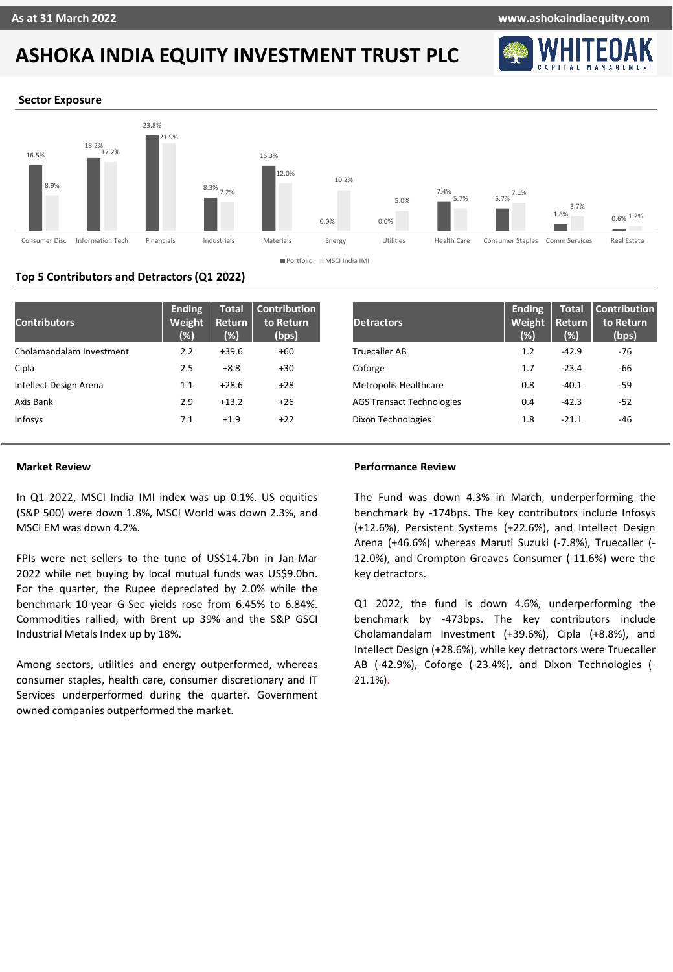

#### **Sector Exposure**



#### **Top 5 Contributors and Detractors (Q1 2022)**

| <b>Contributors</b>      | <b>Ending</b><br>Weight<br>(%) | <b>Total</b><br>Return<br>$\frac{8}{2}$ | <b>Contribution</b><br>to Return<br>(bps) | <b>Detractors</b>                | <b>Ending</b><br>Weight<br>(% | <b>Total</b><br>Return<br>(% ) | Contribution<br>to Return<br>(bps) |
|--------------------------|--------------------------------|-----------------------------------------|-------------------------------------------|----------------------------------|-------------------------------|--------------------------------|------------------------------------|
| Cholamandalam Investment | 2.2                            | $+39.6$                                 | +60                                       | <b>Truecaller AB</b>             | 1.2                           | $-42.9$                        | -76                                |
| Cipla                    | 2.5                            | $+8.8$                                  | $+30$                                     | Coforge                          | 1.7                           | $-23.4$                        | -66                                |
| Intellect Design Arena   | 1.1                            | $+28.6$                                 | $+28$                                     | Metropolis Healthcare            | 0.8                           | $-40.1$                        | $-59$                              |
| Axis Bank                | 2.9                            | $+13.2$                                 | $+26$                                     | <b>AGS Transact Technologies</b> | 0.4                           | $-42.3$                        | $-52$                              |
| Infosys                  | 7.1                            | $+1.9$                                  | $+22$                                     | Dixon Technologies               | 1.8                           | $-21.1$                        | -46                                |

#### **Market Review**

In Q1 2022, MSCI India IMI index was up 0.1%. US equities (S&P 500) were down 1.8%, MSCI World was down 2.3%, and MSCI EM was down 4.2%.

FPIs were net sellers to the tune of US\$14.7bn in Jan-Mar 2022 while net buying by local mutual funds was US\$9.0bn. For the quarter, the Rupee depreciated by 2.0% while the benchmark 10-year G-Sec yields rose from 6.45% to 6.84%. Commodities rallied, with Brent up 39% and the S&P GSCI Industrial Metals Index up by 18%.

Among sectors, utilities and energy outperformed, whereas consumer staples, health care, consumer discretionary and IT Services underperformed during the quarter. Government owned companies outperformed the market.

#### **Performance Review**

The Fund was down 4.3% in March, underperforming the benchmark by -174bps. The key contributors include Infosys (+12.6%), Persistent Systems (+22.6%), and Intellect Design Arena (+46.6%) whereas Maruti Suzuki (-7.8%), Truecaller (- 12.0%), and Crompton Greaves Consumer (-11.6%) were the key detractors.

Q1 2022, the fund is down 4.6%, underperforming the benchmark by -473bps. The key contributors include Cholamandalam Investment (+39.6%), Cipla (+8.8%), and Intellect Design (+28.6%), while key detractors were Truecaller AB (-42.9%), Coforge (-23.4%), and Dixon Technologies (- 21.1%).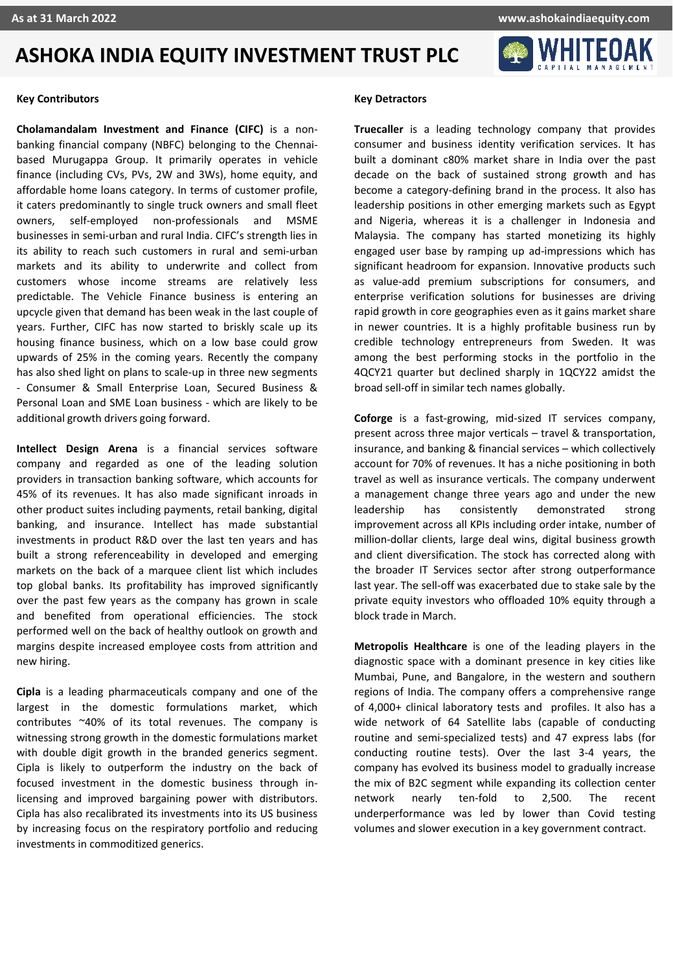

#### **Key Contributors**

**Cholamandalam Investment and Finance (CIFC)** is a nonbanking financial company (NBFC) belonging to the Chennaibased Murugappa Group. It primarily operates in vehicle finance (including CVs, PVs, 2W and 3Ws), home equity, and affordable home loans category. In terms of customer profile, it caters predominantly to single truck owners and small fleet owners, self-employed non-professionals and MSME businesses in semi-urban and rural India. CIFC's strength lies in its ability to reach such customers in rural and semi-urban markets and its ability to underwrite and collect from customers whose income streams are relatively less predictable. The Vehicle Finance business is entering an upcycle given that demand has been weak in the last couple of years. Further, CIFC has now started to briskly scale up its housing finance business, which on a low base could grow upwards of 25% in the coming years. Recently the company has also shed light on plans to scale-up in three new segments - Consumer & Small Enterprise Loan, Secured Business & Personal Loan and SME Loan business - which are likely to be additional growth drivers going forward.

**Intellect Design Arena** is a financial services software company and regarded as one of the leading solution providers in transaction banking software, which accounts for 45% of its revenues. It has also made significant inroads in other product suites including payments, retail banking, digital banking, and insurance. Intellect has made substantial investments in product R&D over the last ten years and has built a strong referenceability in developed and emerging markets on the back of a marquee client list which includes top global banks. Its profitability has improved significantly over the past few years as the company has grown in scale and benefited from operational efficiencies. The stock performed well on the back of healthy outlook on growth and margins despite increased employee costs from attrition and new hiring.

**Cipla** is a leading pharmaceuticals company and one of the largest in the domestic formulations market, which contributes ~40% of its total revenues. The company is witnessing strong growth in the domestic formulations market with double digit growth in the branded generics segment. Cipla is likely to outperform the industry on the back of focused investment in the domestic business through inlicensing and improved bargaining power with distributors. Cipla has also recalibrated its investments into its US business by increasing focus on the respiratory portfolio and reducing investments in commoditized generics.

#### **Key Detractors**

**Truecaller** is a leading technology company that provides consumer and business identity verification services. It has built a dominant c80% market share in India over the past decade on the back of sustained strong growth and has become a category-defining brand in the process. It also has leadership positions in other emerging markets such as Egypt and Nigeria, whereas it is a challenger in Indonesia and Malaysia. The company has started monetizing its highly engaged user base by ramping up ad-impressions which has significant headroom for expansion. Innovative products such as value-add premium subscriptions for consumers, and enterprise verification solutions for businesses are driving rapid growth in core geographies even as it gains market share in newer countries. It is a highly profitable business run by credible technology entrepreneurs from Sweden. It was among the best performing stocks in the portfolio in the 4QCY21 quarter but declined sharply in 1QCY22 amidst the broad sell-off in similar tech names globally.

**Coforge** is a fast-growing, mid-sized IT services company, present across three major verticals – travel & transportation, insurance, and banking & financial services – which collectively account for 70% of revenues. It has a niche positioning in both travel as well as insurance verticals. The company underwent a management change three years ago and under the new leadership has consistently demonstrated strong improvement across all KPIs including order intake, number of million-dollar clients, large deal wins, digital business growth and client diversification. The stock has corrected along with the broader IT Services sector after strong outperformance last year. The sell-off was exacerbated due to stake sale by the private equity investors who offloaded 10% equity through a block trade in March.

**Metropolis Healthcare** is one of the leading players in the diagnostic space with a dominant presence in key cities like Mumbai, Pune, and Bangalore, in the western and southern regions of India. The company offers a comprehensive range of 4,000+ clinical laboratory tests and profiles. It also has a wide network of 64 Satellite labs (capable of conducting routine and semi-specialized tests) and 47 express labs (for conducting routine tests). Over the last 3-4 years, the company has evolved its business model to gradually increase the mix of B2C segment while expanding its collection center network nearly ten-fold to 2,500. The recent underperformance was led by lower than Covid testing volumes and slower execution in a key government contract.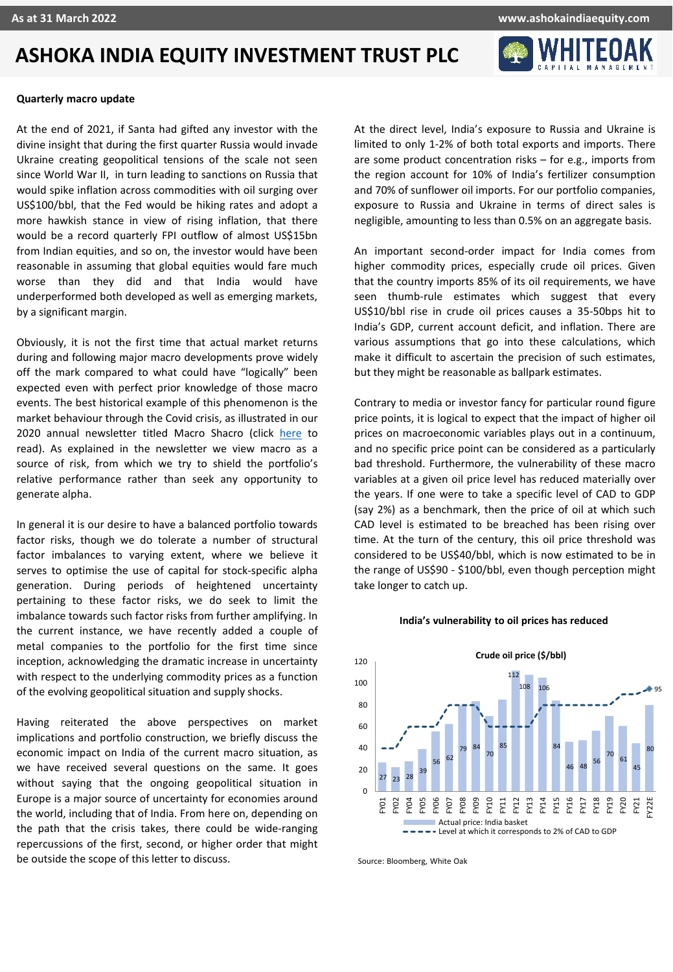

#### **Quarterly macro update**

At the end of 2021, if Santa had gifted any investor with the divine insight that during the first quarter Russia would invade Ukraine creating geopolitical tensions of the scale not seen since World War II, in turn leading to sanctions on Russia that would spike inflation across commodities with oil surging over US\$100/bbl, that the Fed would be hiking rates and adopt a more hawkish stance in view of rising inflation, that there would be a record quarterly FPI outflow of almost US\$15bn from Indian equities, and so on, the investor would have been reasonable in assuming that global equities would fare much worse than they did and that India would have underperformed both developed as well as emerging markets, by a significant margin.

Obviously, it is not the first time that actual market returns during and following major macro developments prove widely off the mark compared to what could have "logically" been expected even with perfect prior knowledge of those macro events. The best historical example of this phenomenon is the market behaviour through the Covid crisis, as illustrated in our 2020 annual newsletter titled Macro Shacro (click [here](https://ashokaindiaequity.com/wp-content/uploads/2022/04/Ashoka-India-Equity-Investment-Trust-PLC-Newsletter.pdf) to read). As explained in the newsletter we view macro as a source of risk, from which we try to shield the portfolio's relative performance rather than seek any opportunity to generate alpha.

In general it is our desire to have a balanced portfolio towards factor risks, though we do tolerate a number of structural factor imbalances to varying extent, where we believe it serves to optimise the use of capital for stock-specific alpha generation. During periods of heightened uncertainty pertaining to these factor risks, we do seek to limit the imbalance towards such factor risks from further amplifying. In the current instance, we have recently added a couple of metal companies to the portfolio for the first time since inception, acknowledging the dramatic increase in uncertainty with respect to the underlying commodity prices as a function of the evolving geopolitical situation and supply shocks.

Having reiterated the above perspectives on market implications and portfolio construction, we briefly discuss the economic impact on India of the current macro situation, as we have received several questions on the same. It goes without saying that the ongoing geopolitical situation in Europe is a major source of uncertainty for economies around the world, including that of India. From here on, depending on the path that the crisis takes, there could be wide-ranging repercussions of the first, second, or higher order that might be outside the scope of this letter to discuss.

At the direct level, India's exposure to Russia and Ukraine is limited to only 1-2% of both total exports and imports. There are some product concentration risks – for e.g., imports from the region account for 10% of India's fertilizer consumption and 70% of sunflower oil imports. For our portfolio companies, exposure to Russia and Ukraine in terms of direct sales is negligible, amounting to less than 0.5% on an aggregate basis.

An important second-order impact for India comes from higher commodity prices, especially crude oil prices. Given that the country imports 85% of its oil requirements, we have seen thumb-rule estimates which suggest that every US\$10/bbl rise in crude oil prices causes a 35-50bps hit to India's GDP, current account deficit, and inflation. There are various assumptions that go into these calculations, which make it difficult to ascertain the precision of such estimates, but they might be reasonable as ballpark estimates.

Contrary to media or investor fancy for particular round figure price points, it is logical to expect that the impact of higher oil prices on macroeconomic variables plays out in a continuum, and no specific price point can be considered as a particularly bad threshold. Furthermore, the vulnerability of these macro variables at a given oil price level has reduced materially over the years. If one were to take a specific level of CAD to GDP (say 2%) as a benchmark, then the price of oil at which such CAD level is estimated to be breached has been rising over time. At the turn of the century, this oil price threshold was considered to be US\$40/bbl, which is now estimated to be in the range of US\$90 - \$100/bbl, even though perception might take longer to catch up.

#### **India's vulnerability to oil prices has reduced**



Source: Bloomberg, White Oak